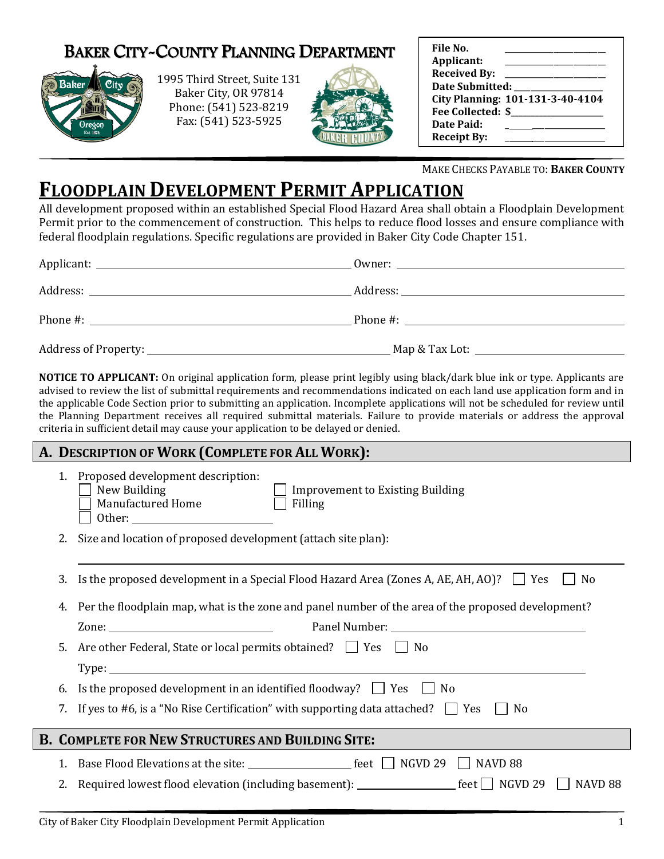## BAKER CITY-COUNTY PLANNING DEPARTMENT



1995 Third Street, Suite 131 Baker City, OR 97814 Phone: (541) 523-8219 Fax: (541) 523-5925



| File No.               |                                  |
|------------------------|----------------------------------|
| Applicant:             |                                  |
| <b>Received By:</b>    |                                  |
| <b>Date Submitted:</b> |                                  |
|                        | City Planning: 101-131-3-40-4104 |
| Fee Collected: \$      |                                  |
| Date Paid:             |                                  |
| <b>Receipt By:</b>     |                                  |

MAKE CHECKS PAYABLE TO: **BAKER COUNTY**

## **FLOODPLAIN DEVELOPMENT PERMIT APPLICATION**

All development proposed within an established Special Flood Hazard Area shall obtain a Floodplain Development Permit prior to the commencement of construction. This helps to reduce flood losses and ensure compliance with federal floodplain regulations. Specific regulations are provided in Baker City Code Chapter 151.

| Phone #:               | Phone #: |  |
|------------------------|----------|--|
| Address of Property: _ |          |  |

**NOTICE TO APPLICANT:** On original application form, please print legibly using black/dark blue ink or type. Applicants are advised to review the list of submittal requirements and recommendations indicated on each land use application form and in the applicable Code Section prior to submitting an application. Incomplete applications will not be scheduled for review until the Planning Department receives all required submittal materials. Failure to provide materials or address the approval criteria in sufficient detail may cause your application to be delayed or denied.

## **A. DESCRIPTION OF WORK (COMPLETE FOR ALL WORK):**

|                                                          | Proposed development description:<br>New Building<br><b>Improvement to Existing Building</b><br>New Building<br>Manufactured Home<br>Filling |
|----------------------------------------------------------|----------------------------------------------------------------------------------------------------------------------------------------------|
| 2.                                                       | Size and location of proposed development (attach site plan):                                                                                |
| 3.                                                       | Is the proposed development in a Special Flood Hazard Area (Zones A, AE, AH, AO)? $\Box$ Yes<br>N <sub>0</sub>                               |
| 4.                                                       | Per the floodplain map, what is the zone and panel number of the area of the proposed development?                                           |
|                                                          | Zone:                                                                                                                                        |
| 5.                                                       | Are other Federal, State or local permits obtained? $\Box$ Yes $\Box$ No                                                                     |
|                                                          |                                                                                                                                              |
| 6.                                                       | Is the proposed development in an identified floodway? $\Box$ Yes $\Box$ No                                                                  |
|                                                          | If yes to #6, is a "No Rise Certification" with supporting data attached? $\Box$ Yes<br>N <sub>0</sub>                                       |
| <b>B. COMPLETE FOR NEW STRUCTURES AND BUILDING SITE:</b> |                                                                                                                                              |
| 1.                                                       |                                                                                                                                              |
|                                                          | NAVD 88                                                                                                                                      |